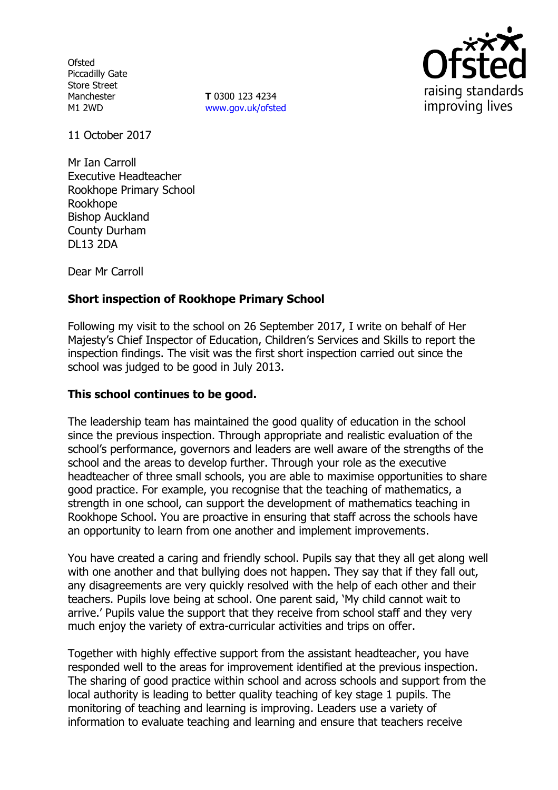**Ofsted** Piccadilly Gate Store Street Manchester M1 2WD

**T** 0300 123 4234 www.gov.uk/ofsted



11 October 2017

Mr Ian Carroll Executive Headteacher Rookhope Primary School Rookhope Bishop Auckland County Durham DL13 2DA

Dear Mr Carroll

## **Short inspection of Rookhope Primary School**

Following my visit to the school on 26 September 2017, I write on behalf of Her Majesty's Chief Inspector of Education, Children's Services and Skills to report the inspection findings. The visit was the first short inspection carried out since the school was judged to be good in July 2013.

## **This school continues to be good.**

The leadership team has maintained the good quality of education in the school since the previous inspection. Through appropriate and realistic evaluation of the school's performance, governors and leaders are well aware of the strengths of the school and the areas to develop further. Through your role as the executive headteacher of three small schools, you are able to maximise opportunities to share good practice. For example, you recognise that the teaching of mathematics, a strength in one school, can support the development of mathematics teaching in Rookhope School. You are proactive in ensuring that staff across the schools have an opportunity to learn from one another and implement improvements.

You have created a caring and friendly school. Pupils say that they all get along well with one another and that bullying does not happen. They say that if they fall out, any disagreements are very quickly resolved with the help of each other and their teachers. Pupils love being at school. One parent said, 'My child cannot wait to arrive.' Pupils value the support that they receive from school staff and they very much enjoy the variety of extra-curricular activities and trips on offer.

Together with highly effective support from the assistant headteacher, you have responded well to the areas for improvement identified at the previous inspection. The sharing of good practice within school and across schools and support from the local authority is leading to better quality teaching of key stage 1 pupils. The monitoring of teaching and learning is improving. Leaders use a variety of information to evaluate teaching and learning and ensure that teachers receive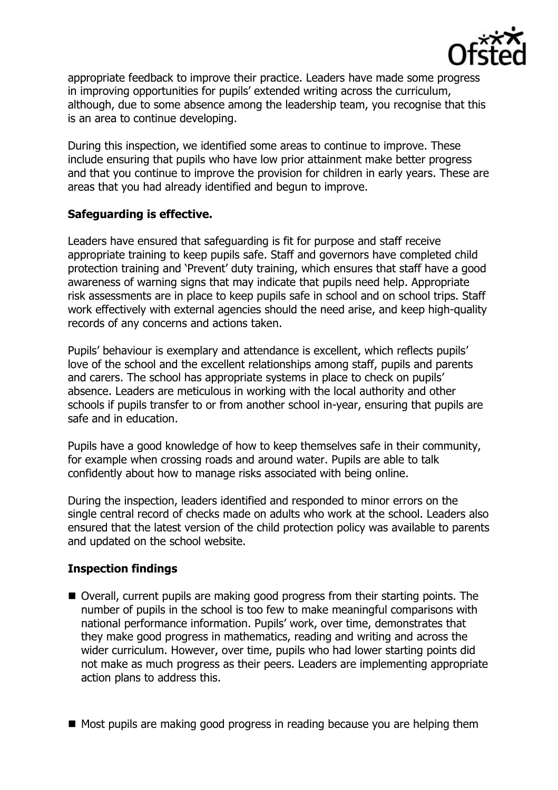

appropriate feedback to improve their practice. Leaders have made some progress in improving opportunities for pupils' extended writing across the curriculum, although, due to some absence among the leadership team, you recognise that this is an area to continue developing.

During this inspection, we identified some areas to continue to improve. These include ensuring that pupils who have low prior attainment make better progress and that you continue to improve the provision for children in early years. These are areas that you had already identified and begun to improve.

## **Safeguarding is effective.**

Leaders have ensured that safeguarding is fit for purpose and staff receive appropriate training to keep pupils safe. Staff and governors have completed child protection training and 'Prevent' duty training, which ensures that staff have a good awareness of warning signs that may indicate that pupils need help. Appropriate risk assessments are in place to keep pupils safe in school and on school trips. Staff work effectively with external agencies should the need arise, and keep high-quality records of any concerns and actions taken.

Pupils' behaviour is exemplary and attendance is excellent, which reflects pupils' love of the school and the excellent relationships among staff, pupils and parents and carers. The school has appropriate systems in place to check on pupils' absence. Leaders are meticulous in working with the local authority and other schools if pupils transfer to or from another school in-year, ensuring that pupils are safe and in education.

Pupils have a good knowledge of how to keep themselves safe in their community, for example when crossing roads and around water. Pupils are able to talk confidently about how to manage risks associated with being online.

During the inspection, leaders identified and responded to minor errors on the single central record of checks made on adults who work at the school. Leaders also ensured that the latest version of the child protection policy was available to parents and updated on the school website.

# **Inspection findings**

- Overall, current pupils are making good progress from their starting points. The number of pupils in the school is too few to make meaningful comparisons with national performance information. Pupils' work, over time, demonstrates that they make good progress in mathematics, reading and writing and across the wider curriculum. However, over time, pupils who had lower starting points did not make as much progress as their peers. Leaders are implementing appropriate action plans to address this.
- Most pupils are making good progress in reading because you are helping them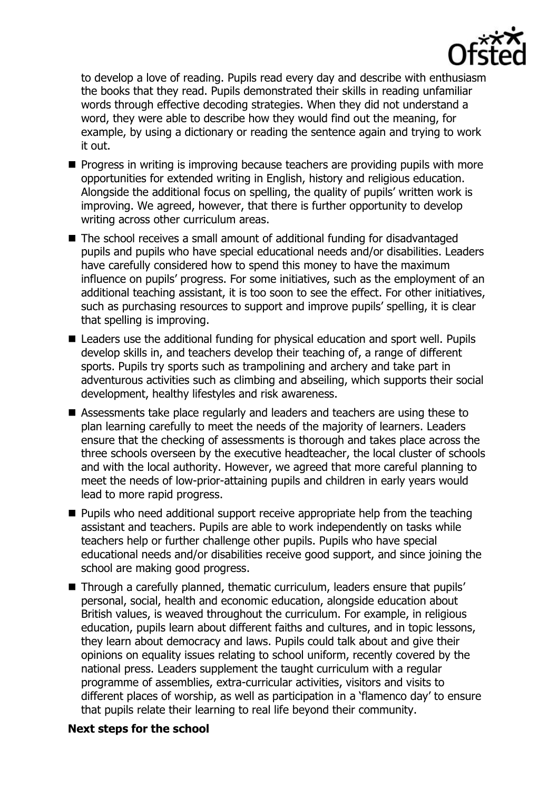

to develop a love of reading. Pupils read every day and describe with enthusiasm the books that they read. Pupils demonstrated their skills in reading unfamiliar words through effective decoding strategies. When they did not understand a word, they were able to describe how they would find out the meaning, for example, by using a dictionary or reading the sentence again and trying to work it out.

- $\blacksquare$  Progress in writing is improving because teachers are providing pupils with more opportunities for extended writing in English, history and religious education. Alongside the additional focus on spelling, the quality of pupils' written work is improving. We agreed, however, that there is further opportunity to develop writing across other curriculum areas.
- The school receives a small amount of additional funding for disadvantaged pupils and pupils who have special educational needs and/or disabilities. Leaders have carefully considered how to spend this money to have the maximum influence on pupils' progress. For some initiatives, such as the employment of an additional teaching assistant, it is too soon to see the effect. For other initiatives, such as purchasing resources to support and improve pupils' spelling, it is clear that spelling is improving.
- Leaders use the additional funding for physical education and sport well. Pupils develop skills in, and teachers develop their teaching of, a range of different sports. Pupils try sports such as trampolining and archery and take part in adventurous activities such as climbing and abseiling, which supports their social development, healthy lifestyles and risk awareness.
- Assessments take place regularly and leaders and teachers are using these to plan learning carefully to meet the needs of the majority of learners. Leaders ensure that the checking of assessments is thorough and takes place across the three schools overseen by the executive headteacher, the local cluster of schools and with the local authority. However, we agreed that more careful planning to meet the needs of low-prior-attaining pupils and children in early years would lead to more rapid progress.
- $\blacksquare$  Pupils who need additional support receive appropriate help from the teaching assistant and teachers. Pupils are able to work independently on tasks while teachers help or further challenge other pupils. Pupils who have special educational needs and/or disabilities receive good support, and since joining the school are making good progress.
- Through a carefully planned, thematic curriculum, leaders ensure that pupils' personal, social, health and economic education, alongside education about British values, is weaved throughout the curriculum. For example, in religious education, pupils learn about different faiths and cultures, and in topic lessons, they learn about democracy and laws. Pupils could talk about and give their opinions on equality issues relating to school uniform, recently covered by the national press. Leaders supplement the taught curriculum with a regular programme of assemblies, extra-curricular activities, visitors and visits to different places of worship, as well as participation in a 'flamenco day' to ensure that pupils relate their learning to real life beyond their community.

## **Next steps for the school**